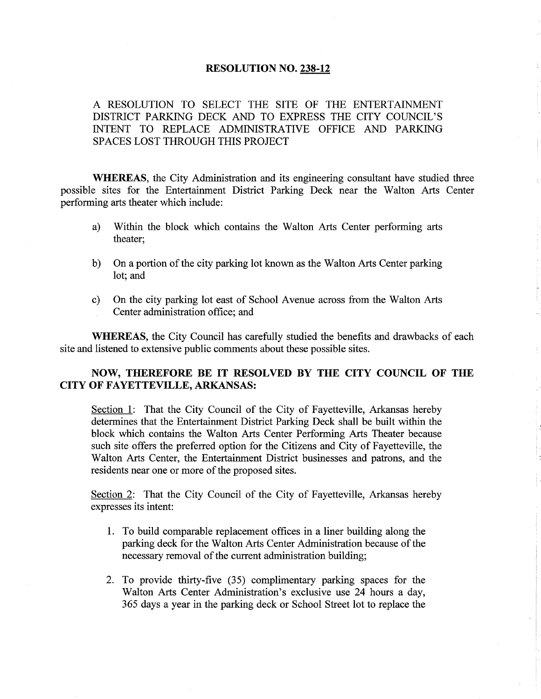#### RESOLUTION NO. 238-12

A RESOLUTION TO SELECT THE SITE OF THE ENTERTAINMENT DISTRICT PARKING DECK AND TO EXPRESS THE CITY COUNCIL'S INTENT TO REPLACE ADMINISTRATIVE OFFICE AND PARKING SPACES LOST THROUGH THIS PROJECT

WHEREAS, the City Administration and its engineering consultant have studied three possible sites for the Entertainment District Parking Deck near the Walton Arts Center performing arts theater which include:

- a) Within the block which contains the Walton Arts Center performing arts theater;
- b) On a portion of the city parking lot known as the Walton Arts Center parking lot; and
- c) On the city parking lot east of School Avenue across from the Walton Arts Center administration office; and

WHEREAS, the City Council has carefully studied the benefits and drawbacks of each site and listened to extensive public comments about these possible sites.

## NOW, THEREFORE BE IT RESOLVED BY THE CITY COUNCIL OF THE CITY OF FAYETTEVILLE, ARKANSAS:

Section 1: That the City Council of the City of Fayetteville, Arkansas hereby determines that the Entertainment District Parking Deck shall be built within the block which contains the Walton Arts Center Performing Arts Theater because such site offers the preferred option for the Citizens and City of Fayetteville, the Walton Arts Center, the Entertainment District businesses and patrons, and the residents near one or more of the proposed sites.

Section 2: That the City Council of the City of Fayetteville, Arkansas hereby expresses its intent:

- 1. To build comparable replacement offices in a liner building along the parking deck for the'Walton Arts Center Administration because of the necessary removal of the current administration building;
- 2. To provide thirty-five (35) complimentary parking spaces for the Walton Arts Center Administration's exclusive use 24 hours a day, 365 days a year in the parking deck or School Street lot to replace the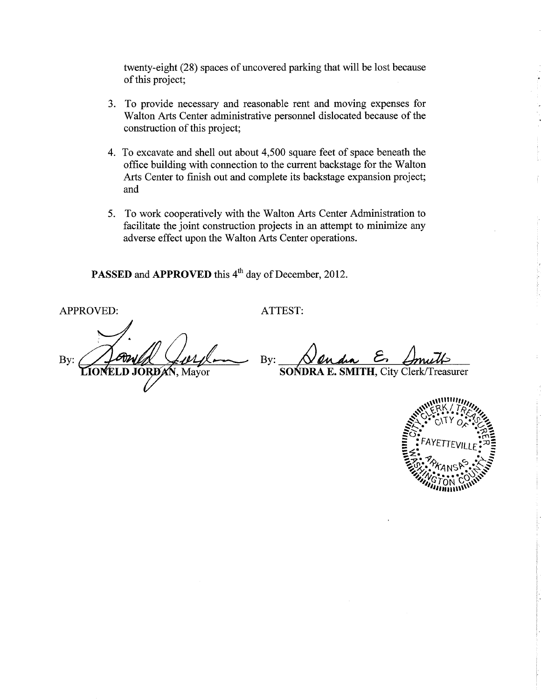twenty-eight (28) spaces of uncovered parking that will be lost because of this project;

- 3. To provide necessary and reasonable rent and moving expenses for Walton Arts Center administrative personnel dislocated because of the construction of this project;
- 4. To excavate and shell out about 4,500 square feet of space beneath the office building with connection to the current backstage for the Walton Arts Center to finish out and complete its backstage expansion project; and
- 5. To work cooperatively with the Walton Arts Center Administration to facilitate the joint construction projects in an attempt to minimize any adverse effect upon the Walton Arts Center operations.

PASSED and APPROVED this 4<sup>th</sup> day of December, 2012.

APPROVED:

ATTEST:

By: **D** JORD XN, Mayor

By:

**SOŃDRA E. SMITH, City Clerk/Treasurer** 

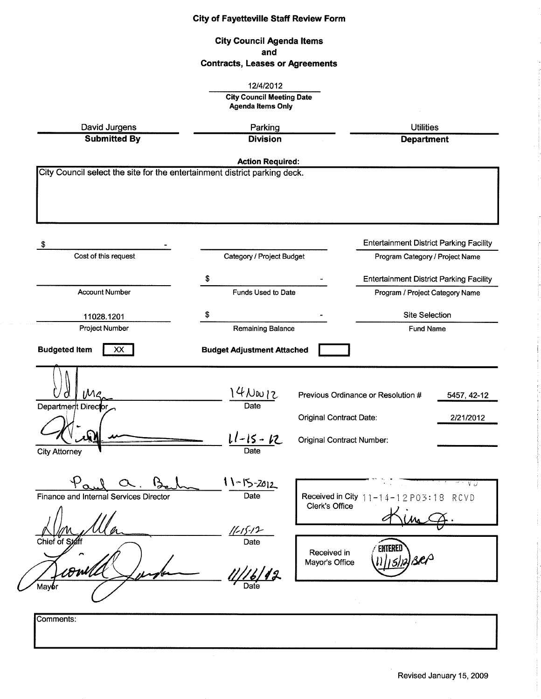|                                                                               | <b>City Council Agenda Items</b><br>and<br><b>Contracts, Leases or Agreements</b>                                                               |                                                                    |                                                          |                          |
|-------------------------------------------------------------------------------|-------------------------------------------------------------------------------------------------------------------------------------------------|--------------------------------------------------------------------|----------------------------------------------------------|--------------------------|
|                                                                               |                                                                                                                                                 |                                                                    |                                                          |                          |
|                                                                               | 12/4/2012<br><b>City Council Meeting Date</b><br><b>Agenda Items Only</b><br>David Jurgens<br>Parking<br><b>Submitted By</b><br><b>Division</b> |                                                                    |                                                          |                          |
|                                                                               |                                                                                                                                                 |                                                                    | <b>Utilities</b><br><b>Department</b>                    |                          |
|                                                                               |                                                                                                                                                 |                                                                    |                                                          |                          |
|                                                                               | <b>Action Required:</b>                                                                                                                         |                                                                    |                                                          |                          |
| City Council select the site for the entertainment district parking deck.     |                                                                                                                                                 |                                                                    |                                                          |                          |
| \$                                                                            |                                                                                                                                                 |                                                                    | <b>Entertainment District Parking Facility</b>           |                          |
| Cost of this request                                                          | Category / Project Budget                                                                                                                       |                                                                    | Program Category / Project Name                          |                          |
|                                                                               | \$                                                                                                                                              |                                                                    | <b>Entertainment District Parking Facility</b>           |                          |
| <b>Account Number</b>                                                         | Funds Used to Date                                                                                                                              |                                                                    | Program / Project Category Name                          |                          |
| 11028.1201                                                                    | S                                                                                                                                               |                                                                    | <b>Site Selection</b>                                    |                          |
| <b>Project Number</b>                                                         | Remaining Balance                                                                                                                               |                                                                    | <b>Fund Name</b>                                         |                          |
| <b>Budgeted Item</b><br>XX<br>Department Director                             | <b>Budget Adjustment Attached</b><br>$4N_{\text{av}}$<br>Date<br>$11 - 15 - 12$                                                                 | <b>Original Contract Date:</b><br><b>Original Contract Number:</b> | Previous Ordinance or Resolution #                       | 5457, 42-12<br>2/21/2012 |
| <b>City Attorney</b><br>Finance and Internal Services Director<br>Chief of St | Date<br>11-15-2012<br>Date<br>$11 - 15 - 12$<br>Date                                                                                            | Clerk's Office<br>Received in                                      | Received in City $11 - 14 - 12$ P03:18<br><b>ENTERED</b> | -V D<br>RCVD             |
| DWN)                                                                          | $\frac{1}{\sqrt{6}}$ 12                                                                                                                         | Mayor's Office                                                     | 5) 12                                                    |                          |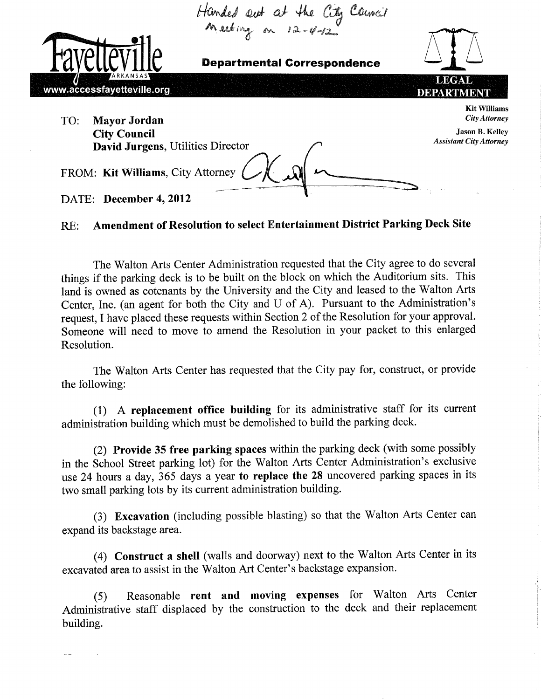

#### **Amendment of Resolution to select Entertainment District Parking Deck Site** RE:

The Walton Arts Center Administration requested that the City agree to do several things if the parking deck is to be built on the block on which the Auditorium sits. This land is owned as cotenants by the University and the City and leased to the Walton Arts Center, Inc. (an agent for both the City and U of A). Pursuant to the Administration's request, I have placed these requests within Section 2 of the Resolution for your approval. Someone will need to move to amend the Resolution in your packet to this enlarged Resolution.

The Walton Arts Center has requested that the City pay for, construct, or provide the following:

(1) A replacement office building for its administrative staff for its current administration building which must be demolished to build the parking deck.

(2) Provide 35 free parking spaces within the parking deck (with some possibly in the School Street parking lot) for the Walton Arts Center Administration's exclusive use 24 hours a day, 365 days a year to replace the 28 uncovered parking spaces in its two small parking lots by its current administration building.

(3) Excavation (including possible blasting) so that the Walton Arts Center can expand its backstage area.

(4) Construct a shell (walls and doorway) next to the Walton Arts Center in its excavated area to assist in the Walton Art Center's backstage expansion.

Reasonable rent and moving expenses for Walton Arts Center  $(5)$ Administrative staff displaced by the construction to the deck and their replacement building.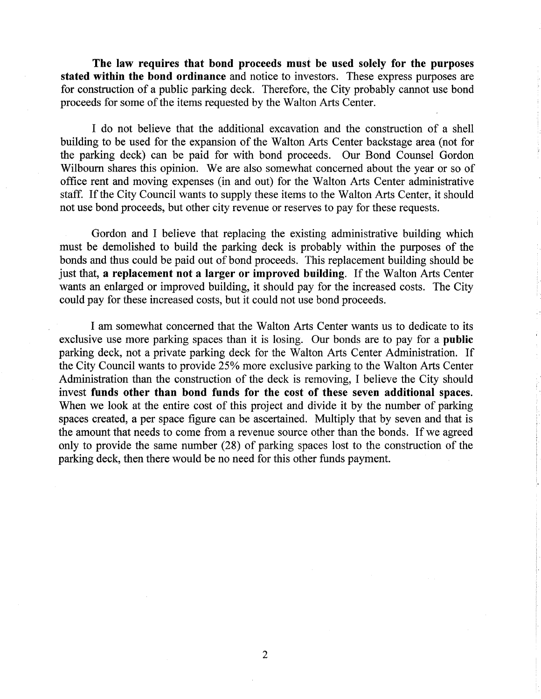The law requires that bond proceeds must be used solely for the purposes stated within the bond ordinance and notice to investors. These express purposes are for construction of a public parking deck. Therefore, the City probably cannot use bond proceeds for some of the items requested by the Walton Arts Center.

I do not believe that the additional excavation and the construction of a shell building to be used for the expansion of the Walton Arts Center backstage area (not for the parking deck) can be paid for with bond proceeds. Our Bond Counsel Gordon Wilbourn shares this opinion. 'We are also somewhat concerned about the year or so of office rent and moving expenses (in and out) for the Walton Arts Center administrative staff. If the City Council wants to supply these items to the Walton Arts Center, it should not use bond proceeds, but other city revenue or reseryes to pay for these requests.

Gordon and I believe that replacing the existing administrative building which must be demolished to build the parking deck is probably within the purposes of the bonds and thus could be paid out of bond proceeds. This replacement building should be just that, a replacement not a larger or improved building. If the Walton Arts Center wants an enlarged or improved building, it should pay for the increased costs. The City could pay for these increased costs, but it could not use bond proceeds.

I am somewhat concerned that the Walton Arts Center wants us to dedicate to its exclusive use more parking spaces than it is losing. Our bonds are to pay for a public parking deck, not a private parking deck for the Walton Arts Center Administration. If the City Council wants to provide 25% more exclusive parking to the Walton Arts Center Administration than the construction of the deck is removing, I believe the City should invest funds other than bond funds for the cost of these seven additional spaces. When we look at the entire cost of this project and divide it by the number of parking spaces created, a per space figure can be ascertained. Multiply that by seven and that is the amount that needs to come from a revenue source other than the bonds. If we agreed only to provide the same number (28) of parking spaces lost to the construction of the parking deck, then there would be no need for this other funds payment.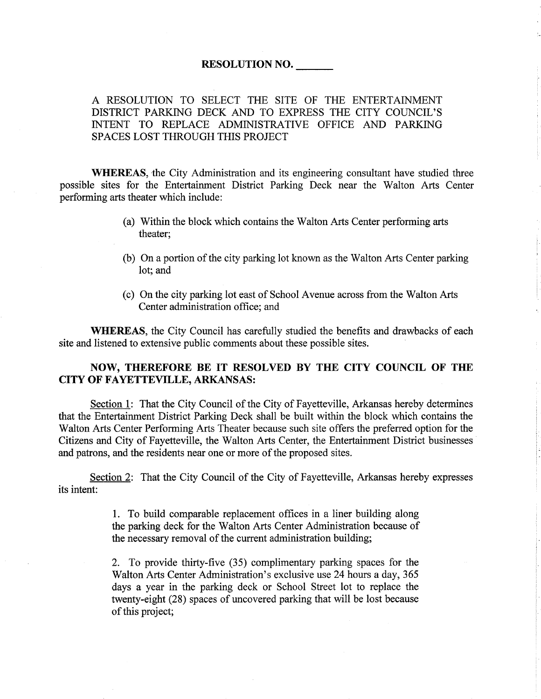#### RESOLUTION NO.

A RESOLUTION TO SELECT THE SITE OF THE ENTERTAINMENT DISTRICT PARKING DECK AND TO EXPRESS THE CITY COUNCIL'S INTENT TO REPLACE ADMINISTRATIVE OFFICE AND PARKING SPACES LOST THROUGH THIS PROJECT

**WHEREAS**, the City Administration and its engineering consultant have studied three possible sites for the Entertainment District Parking Deck near the Walton Arts Center performing arts theater which include:

- (a) Within the block which contains the Walton Arts Center performing arts theater;
- (b) On a portion of the city parking lot known as the Walton Arts Center parking lot; and
- (c) On the city parking lot east of School Avenue across from the Walton Arts Center administration office; and

WHEREAS, the City Council has carefully studied the benefits and drawbacks of each site and listened to extensive public comments about these possible sites.

## NOW, THEREFORE BE IT RESOLVED BY THE CITY COUNCIL OF THE CITY OF FAYETTEVILLE, ARKANSAS:

Section 1: That the City Council of the City of Fayetteville, Arkansas hereby determines that the Entertainment District Parking Deck shall be built within the block which contains the Walton Arts Center Performing Arts Theater because such site offers the preferred option for the Citizens and City of Fayetteville, the Walton Arts Center, the Entertainment District businesses and patrons, and the residents near one or more of the proposed sites.

Section 2: That the City Council of the City of Fayetteville, Arkansas hereby expresses its intent:

> 1. To build comparable replacement offices in a liner building along the parking deck for the Walton Arts Center Administration because of the necessary removal of the current administration building;

> 2. To provide thirty-five (35) complimentary parking spaces for the Walton Arts Center Administration's exclusive use 24 hours a day, 365 days a year in the parking deck or School Street lot to replace the twenty-eight (28) spaces of uncovered parking that will be lost because of this project;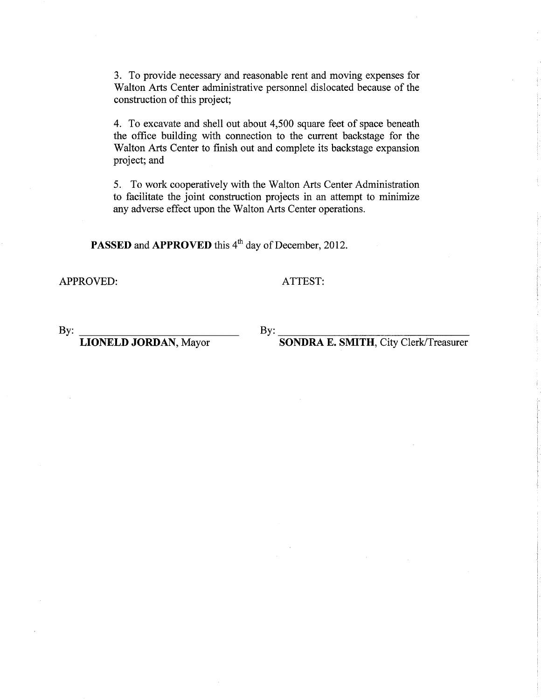3. To provide necessary and reasonable rent and moving expenses for Walton Arts Center administrative personnel dislocated because of the construction of this project;

4. To excavate and shell out about 4,500 square feet of space beneath the office building with connection to the current backstage for the Walton Arts Center to finish out and complete its backstage expansion project; and

5. To work cooperatively with the Walton Arts Center Administration to facilitate the joint construction projects in an attempt to minimize any adverse effect upon the'Walton Arts Center operations.

PASSED and APPROVED this 4<sup>th</sup> day of December, 2012.

APPROVED:

ATTEST:

By: By:

LIONELD JORDAN, Mayor

SONDRA E. SMITH, City Clerk/Treasurer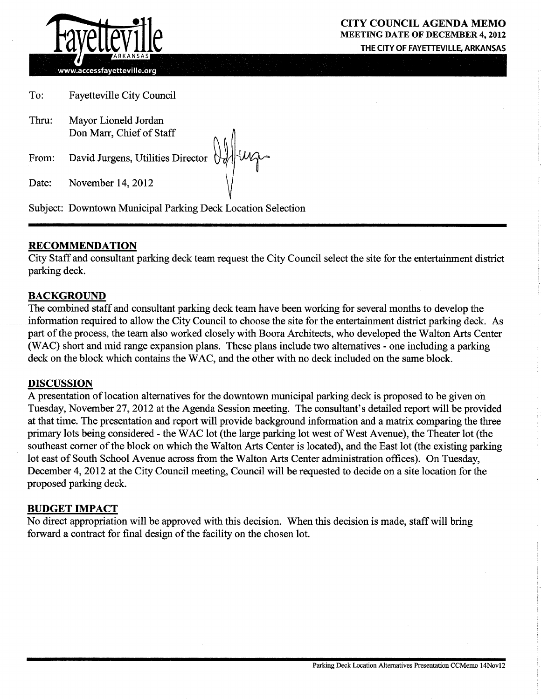

www.accessfayetteville.org

To: Fayetteville City Council

Thru: Mayor Lioneld Jordan Don Marr, Chief of Staff

From: David Jurgens, Utilities Director ()

Date: November 14, 2012

Subject: Downtown Municipal Parking Deck Location Selection

### RECOMMENDATION

City Staff and consultant parking deck team request the City Council select the site for the entertainment district parking deck.

#### BACKGROUND

The combined staff and consultant parking deck team have been working for several months to develop the information required to allow the City Council to choose the site for the entertainment district parking deck. As part of the process, the team also worked closely with Boora Architects, who developed the Walton Arts Center (WAC) short and mid range expansion plans. These plans include two alternatives - one including a parking deck on the block which contains the WAC, and the other with no deck included on the same block.

#### DISCUSSION

A presentation of location alternatives for the downtown municipal parking deck is proposed to be given on Tuesday, November 27,2012 at the Agenda Session meeting. The consultant's detailed report will be provided at that time. The presentation and report will provide background information and a matrix comparing the three primary lots being considered - the'WAC lot (the large parking lot west of West Avenue), the Theater lot (the southeast corner of the block on which the Walton Arts Center is located), and the East lot (the existing parking lot east of South School Avenue across from the Walton Arts Center administration offices). On Tuesday, December 4, 2012 at the City Council meeting, Council will be requested to decide on a site location for the proposed parking deck.

#### BUDGET IMPACT

No direct appropriation will be approved with this decision. When this decision is made, staff will bring forward a contract for final design of the facility on the chosen lot.